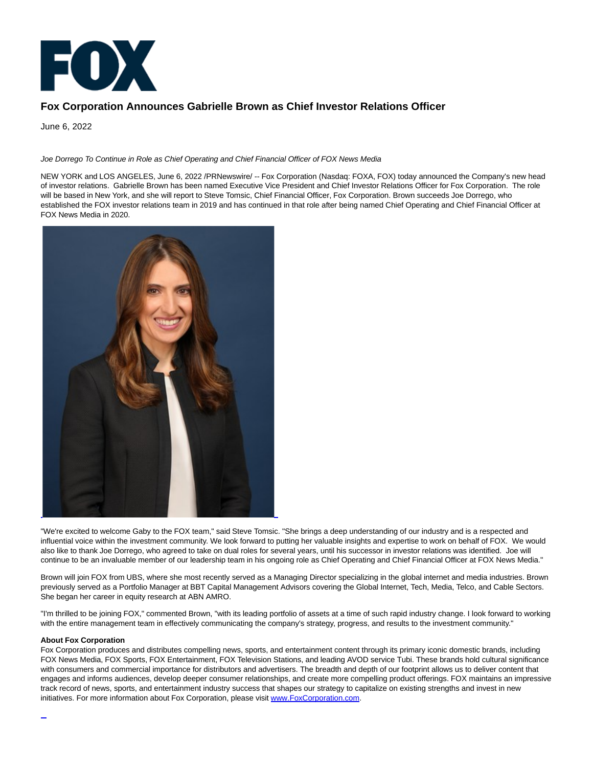

## **Fox Corporation Announces Gabrielle Brown as Chief Investor Relations Officer**

June 6, 2022

Joe Dorrego To Continue in Role as Chief Operating and Chief Financial Officer of FOX News Media

NEW YORK and LOS ANGELES, June 6, 2022 /PRNewswire/ -- Fox Corporation (Nasdaq: FOXA, FOX) today announced the Company's new head of investor relations. Gabrielle Brown has been named Executive Vice President and Chief Investor Relations Officer for Fox Corporation. The role will be based in New York, and she will report to Steve Tomsic, Chief Financial Officer, Fox Corporation. Brown succeeds Joe Dorrego, who established the FOX investor relations team in 2019 and has continued in that role after being named Chief Operating and Chief Financial Officer at FOX News Media in 2020.



"We're excited to welcome Gaby to the FOX team," said Steve Tomsic. "She brings a deep understanding of our industry and is a respected and influential voice within the investment community. We look forward to putting her valuable insights and expertise to work on behalf of FOX. We would also like to thank Joe Dorrego, who agreed to take on dual roles for several years, until his successor in investor relations was identified. Joe will continue to be an invaluable member of our leadership team in his ongoing role as Chief Operating and Chief Financial Officer at FOX News Media."

Brown will join FOX from UBS, where she most recently served as a Managing Director specializing in the global internet and media industries. Brown previously served as a Portfolio Manager at BBT Capital Management Advisors covering the Global Internet, Tech, Media, Telco, and Cable Sectors. She began her career in equity research at ABN AMRO.

"I'm thrilled to be joining FOX," commented Brown, "with its leading portfolio of assets at a time of such rapid industry change. I look forward to working with the entire management team in effectively communicating the company's strategy, progress, and results to the investment community."

## **About Fox Corporation**

Fox Corporation produces and distributes compelling news, sports, and entertainment content through its primary iconic domestic brands, including FOX News Media, FOX Sports, FOX Entertainment, FOX Television Stations, and leading AVOD service Tubi. These brands hold cultural significance with consumers and commercial importance for distributors and advertisers. The breadth and depth of our footprint allows us to deliver content that engages and informs audiences, develop deeper consumer relationships, and create more compelling product offerings. FOX maintains an impressive track record of news, sports, and entertainment industry success that shapes our strategy to capitalize on existing strengths and invest in new initiatives. For more information about Fox Corporation, please visit [www.FoxCorporation.com.](https://c212.net/c/link/?t=0&l=en&o=3558324-1&h=3083815215&u=https%3A%2F%2Fwww.foxcorporation.com%2F&a=www.FoxCorporation.com)